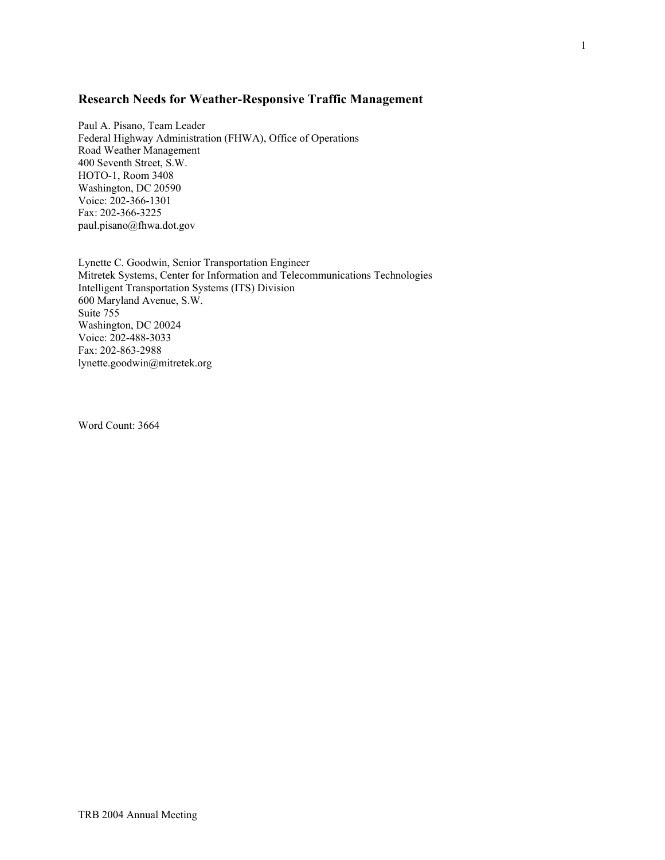# **Research Needs for Weather-Responsive Traffic Management**

Paul A. Pisano, Team Leader Federal Highway Administration (FHWA), Office of Operations Road Weather Management 400 Seventh Street, S.W. HOTO-1, Room 3408 Washington, DC 20590 Voice: 202-366-1301 Fax: 202-366-3225 paul.pisano@fhwa.dot.gov

Lynette C. Goodwin, Senior Transportation Engineer Mitretek Systems, Center for Information and Telecommunications Technologies Intelligent Transportation Systems (ITS) Division 600 Maryland Avenue, S.W. Suite 755 Washington, DC 20024 Voice: 202-488-3033 Fax: 202-863-2988 lynette.goodwin@mitretek.org

Word Count: 3664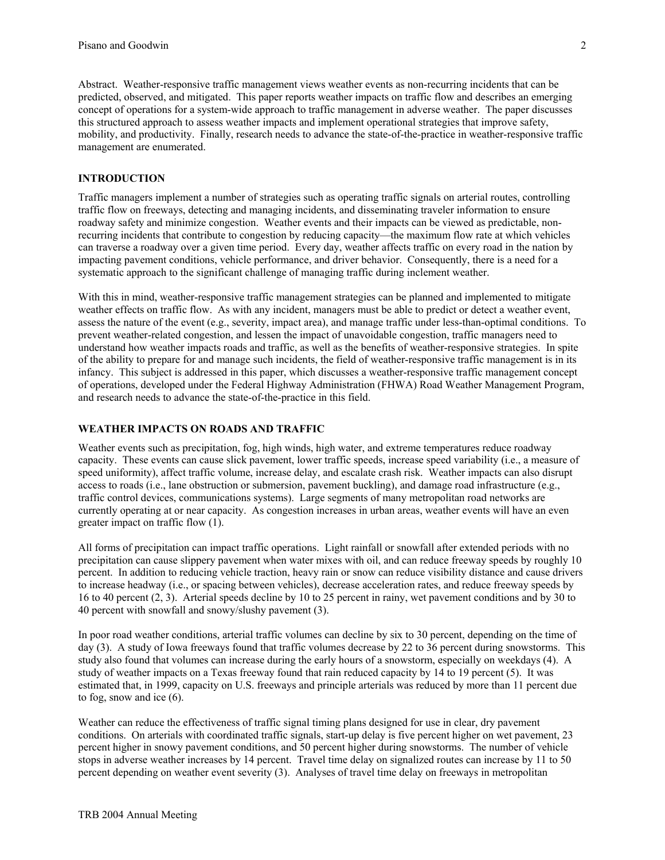Abstract. Weather-responsive traffic management views weather events as non-recurring incidents that can be predicted, observed, and mitigated. This paper reports weather impacts on traffic flow and describes an emerging concept of operations for a system-wide approach to traffic management in adverse weather. The paper discusses this structured approach to assess weather impacts and implement operational strategies that improve safety, mobility, and productivity. Finally, research needs to advance the state-of-the-practice in weather-responsive traffic management are enumerated.

# **INTRODUCTION**

Traffic managers implement a number of strategies such as operating traffic signals on arterial routes, controlling traffic flow on freeways, detecting and managing incidents, and disseminating traveler information to ensure roadway safety and minimize congestion. Weather events and their impacts can be viewed as predictable, nonrecurring incidents that contribute to congestion by reducing capacity—the maximum flow rate at which vehicles can traverse a roadway over a given time period. Every day, weather affects traffic on every road in the nation by impacting pavement conditions, vehicle performance, and driver behavior. Consequently, there is a need for a systematic approach to the significant challenge of managing traffic during inclement weather.

With this in mind, weather-responsive traffic management strategies can be planned and implemented to mitigate weather effects on traffic flow. As with any incident, managers must be able to predict or detect a weather event, assess the nature of the event (e.g., severity, impact area), and manage traffic under less-than-optimal conditions. To prevent weather-related congestion, and lessen the impact of unavoidable congestion, traffic managers need to understand how weather impacts roads and traffic, as well as the benefits of weather-responsive strategies. In spite of the ability to prepare for and manage such incidents, the field of weather-responsive traffic management is in its infancy. This subject is addressed in this paper, which discusses a weather-responsive traffic management concept of operations, developed under the Federal Highway Administration (FHWA) Road Weather Management Program, and research needs to advance the state-of-the-practice in this field.

# **WEATHER IMPACTS ON ROADS AND TRAFFIC**

Weather events such as precipitation, fog, high winds, high water, and extreme temperatures reduce roadway capacity. These events can cause slick pavement, lower traffic speeds, increase speed variability (i.e., a measure of speed uniformity), affect traffic volume, increase delay, and escalate crash risk. Weather impacts can also disrupt access to roads (i.e., lane obstruction or submersion, pavement buckling), and damage road infrastructure (e.g., traffic control devices, communications systems). Large segments of many metropolitan road networks are currently operating at or near capacity. As congestion increases in urban areas, weather events will have an even greater impact on traffic flow (1).

All forms of precipitation can impact traffic operations. Light rainfall or snowfall after extended periods with no precipitation can cause slippery pavement when water mixes with oil, and can reduce freeway speeds by roughly 10 percent. In addition to reducing vehicle traction, heavy rain or snow can reduce visibility distance and cause drivers to increase headway (i.e., or spacing between vehicles), decrease acceleration rates, and reduce freeway speeds by 16 to 40 percent (2, 3). Arterial speeds decline by 10 to 25 percent in rainy, wet pavement conditions and by 30 to 40 percent with snowfall and snowy/slushy pavement (3).

In poor road weather conditions, arterial traffic volumes can decline by six to 30 percent, depending on the time of day (3). A study of Iowa freeways found that traffic volumes decrease by 22 to 36 percent during snowstorms. This study also found that volumes can increase during the early hours of a snowstorm, especially on weekdays (4). A study of weather impacts on a Texas freeway found that rain reduced capacity by 14 to 19 percent (5). It was estimated that, in 1999, capacity on U.S. freeways and principle arterials was reduced by more than 11 percent due to fog, snow and ice (6).

Weather can reduce the effectiveness of traffic signal timing plans designed for use in clear, dry pavement conditions. On arterials with coordinated traffic signals, start-up delay is five percent higher on wet pavement, 23 percent higher in snowy pavement conditions, and 50 percent higher during snowstorms. The number of vehicle stops in adverse weather increases by 14 percent. Travel time delay on signalized routes can increase by 11 to 50 percent depending on weather event severity (3). Analyses of travel time delay on freeways in metropolitan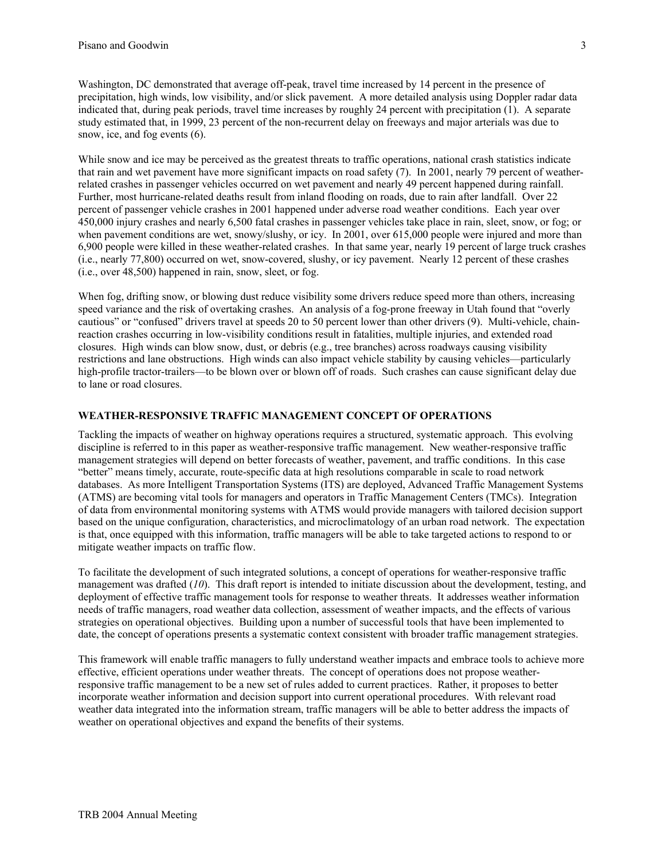Washington, DC demonstrated that average off-peak, travel time increased by 14 percent in the presence of precipitation, high winds, low visibility, and/or slick pavement. A more detailed analysis using Doppler radar data indicated that, during peak periods, travel time increases by roughly 24 percent with precipitation (1). A separate study estimated that, in 1999, 23 percent of the non-recurrent delay on freeways and major arterials was due to snow, ice, and fog events (6).

While snow and ice may be perceived as the greatest threats to traffic operations, national crash statistics indicate that rain and wet pavement have more significant impacts on road safety (7). In 2001, nearly 79 percent of weatherrelated crashes in passenger vehicles occurred on wet pavement and nearly 49 percent happened during rainfall. Further, most hurricane-related deaths result from inland flooding on roads, due to rain after landfall. Over 22 percent of passenger vehicle crashes in 2001 happened under adverse road weather conditions. Each year over 450,000 injury crashes and nearly 6,500 fatal crashes in passenger vehicles take place in rain, sleet, snow, or fog; or when pavement conditions are wet, snowy/slushy, or icy. In 2001, over 615,000 people were injured and more than 6,900 people were killed in these weather-related crashes. In that same year, nearly 19 percent of large truck crashes (i.e., nearly 77,800) occurred on wet, snow-covered, slushy, or icy pavement. Nearly 12 percent of these crashes (i.e., over 48,500) happened in rain, snow, sleet, or fog.

When fog, drifting snow, or blowing dust reduce visibility some drivers reduce speed more than others, increasing speed variance and the risk of overtaking crashes. An analysis of a fog-prone freeway in Utah found that "overly cautious" or "confused" drivers travel at speeds 20 to 50 percent lower than other drivers (9). Multi-vehicle, chainreaction crashes occurring in low-visibility conditions result in fatalities, multiple injuries, and extended road closures. High winds can blow snow, dust, or debris (e.g., tree branches) across roadways causing visibility restrictions and lane obstructions. High winds can also impact vehicle stability by causing vehicles—particularly high-profile tractor-trailers—to be blown over or blown off of roads. Such crashes can cause significant delay due to lane or road closures.

# **WEATHER-RESPONSIVE TRAFFIC MANAGEMENT CONCEPT OF OPERATIONS**

Tackling the impacts of weather on highway operations requires a structured, systematic approach. This evolving discipline is referred to in this paper as weather-responsive traffic management. New weather-responsive traffic management strategies will depend on better forecasts of weather, pavement, and traffic conditions. In this case "better" means timely, accurate, route-specific data at high resolutions comparable in scale to road network databases. As more Intelligent Transportation Systems (ITS) are deployed, Advanced Traffic Management Systems (ATMS) are becoming vital tools for managers and operators in Traffic Management Centers (TMCs). Integration of data from environmental monitoring systems with ATMS would provide managers with tailored decision support based on the unique configuration, characteristics, and microclimatology of an urban road network. The expectation is that, once equipped with this information, traffic managers will be able to take targeted actions to respond to or mitigate weather impacts on traffic flow.

To facilitate the development of such integrated solutions, a concept of operations for weather-responsive traffic management was drafted (*10*). This draft report is intended to initiate discussion about the development, testing, and deployment of effective traffic management tools for response to weather threats. It addresses weather information needs of traffic managers, road weather data collection, assessment of weather impacts, and the effects of various strategies on operational objectives. Building upon a number of successful tools that have been implemented to date, the concept of operations presents a systematic context consistent with broader traffic management strategies.

This framework will enable traffic managers to fully understand weather impacts and embrace tools to achieve more effective, efficient operations under weather threats. The concept of operations does not propose weatherresponsive traffic management to be a new set of rules added to current practices. Rather, it proposes to better incorporate weather information and decision support into current operational procedures. With relevant road weather data integrated into the information stream, traffic managers will be able to better address the impacts of weather on operational objectives and expand the benefits of their systems.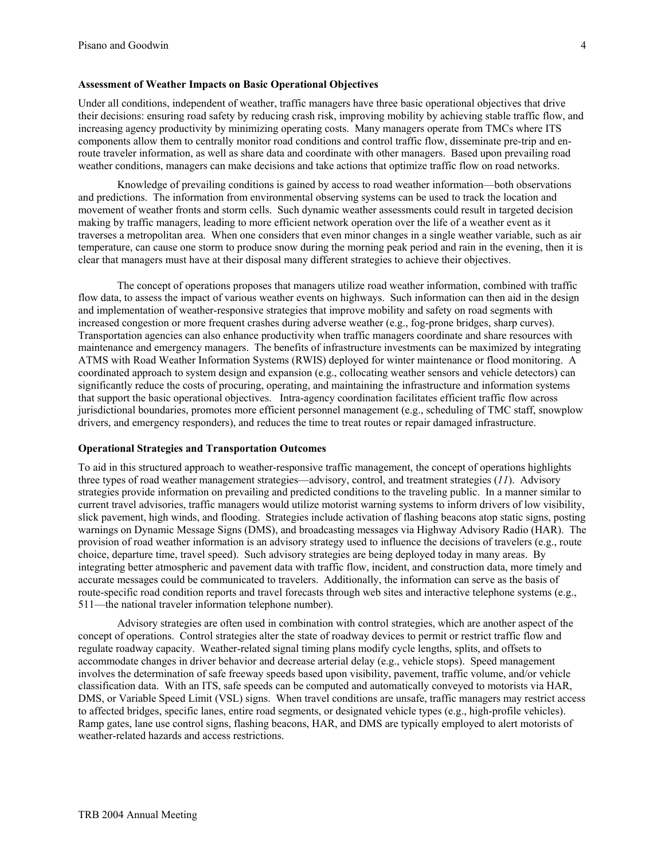## **Assessment of Weather Impacts on Basic Operational Objectives**

Under all conditions, independent of weather, traffic managers have three basic operational objectives that drive their decisions: ensuring road safety by reducing crash risk, improving mobility by achieving stable traffic flow, and increasing agency productivity by minimizing operating costs. Many managers operate from TMCs where ITS components allow them to centrally monitor road conditions and control traffic flow, disseminate pre-trip and enroute traveler information, as well as share data and coordinate with other managers. Based upon prevailing road weather conditions, managers can make decisions and take actions that optimize traffic flow on road networks.

Knowledge of prevailing conditions is gained by access to road weather information—both observations and predictions. The information from environmental observing systems can be used to track the location and movement of weather fronts and storm cells. Such dynamic weather assessments could result in targeted decision making by traffic managers, leading to more efficient network operation over the life of a weather event as it traverses a metropolitan area. When one considers that even minor changes in a single weather variable, such as air temperature, can cause one storm to produce snow during the morning peak period and rain in the evening, then it is clear that managers must have at their disposal many different strategies to achieve their objectives.

The concept of operations proposes that managers utilize road weather information, combined with traffic flow data, to assess the impact of various weather events on highways. Such information can then aid in the design and implementation of weather-responsive strategies that improve mobility and safety on road segments with increased congestion or more frequent crashes during adverse weather (e.g., fog-prone bridges, sharp curves). Transportation agencies can also enhance productivity when traffic managers coordinate and share resources with maintenance and emergency managers. The benefits of infrastructure investments can be maximized by integrating ATMS with Road Weather Information Systems (RWIS) deployed for winter maintenance or flood monitoring. A coordinated approach to system design and expansion (e.g., collocating weather sensors and vehicle detectors) can significantly reduce the costs of procuring, operating, and maintaining the infrastructure and information systems that support the basic operational objectives. Intra-agency coordination facilitates efficient traffic flow across jurisdictional boundaries, promotes more efficient personnel management (e.g., scheduling of TMC staff, snowplow drivers, and emergency responders), and reduces the time to treat routes or repair damaged infrastructure.

#### **Operational Strategies and Transportation Outcomes**

To aid in this structured approach to weather-responsive traffic management, the concept of operations highlights three types of road weather management strategies—advisory, control, and treatment strategies (*11*). Advisory strategies provide information on prevailing and predicted conditions to the traveling public. In a manner similar to current travel advisories, traffic managers would utilize motorist warning systems to inform drivers of low visibility, slick pavement, high winds, and flooding. Strategies include activation of flashing beacons atop static signs, posting warnings on Dynamic Message Signs (DMS), and broadcasting messages via Highway Advisory Radio (HAR). The provision of road weather information is an advisory strategy used to influence the decisions of travelers (e.g., route choice, departure time, travel speed). Such advisory strategies are being deployed today in many areas. By integrating better atmospheric and pavement data with traffic flow, incident, and construction data, more timely and accurate messages could be communicated to travelers. Additionally, the information can serve as the basis of route-specific road condition reports and travel forecasts through web sites and interactive telephone systems (e.g., 511—the national traveler information telephone number).

Advisory strategies are often used in combination with control strategies, which are another aspect of the concept of operations. Control strategies alter the state of roadway devices to permit or restrict traffic flow and regulate roadway capacity. Weather-related signal timing plans modify cycle lengths, splits, and offsets to accommodate changes in driver behavior and decrease arterial delay (e.g., vehicle stops). Speed management involves the determination of safe freeway speeds based upon visibility, pavement, traffic volume, and/or vehicle classification data. With an ITS, safe speeds can be computed and automatically conveyed to motorists via HAR, DMS, or Variable Speed Limit (VSL) signs. When travel conditions are unsafe, traffic managers may restrict access to affected bridges, specific lanes, entire road segments, or designated vehicle types (e.g., high-profile vehicles). Ramp gates, lane use control signs, flashing beacons, HAR, and DMS are typically employed to alert motorists of weather-related hazards and access restrictions.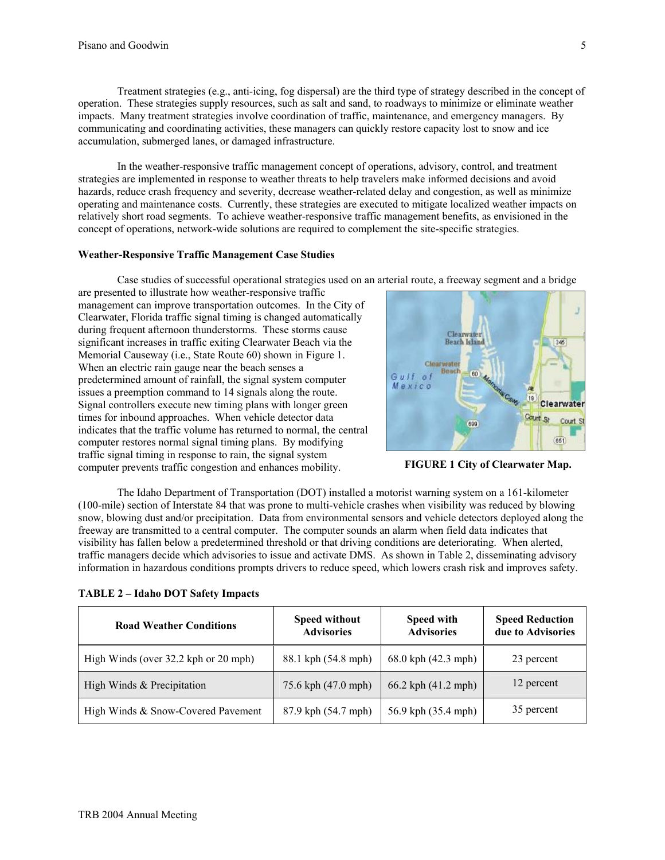Treatment strategies (e.g., anti-icing, fog dispersal) are the third type of strategy described in the concept of operation. These strategies supply resources, such as salt and sand, to roadways to minimize or eliminate weather impacts. Many treatment strategies involve coordination of traffic, maintenance, and emergency managers. By communicating and coordinating activities, these managers can quickly restore capacity lost to snow and ice accumulation, submerged lanes, or damaged infrastructure.

In the weather-responsive traffic management concept of operations, advisory, control, and treatment strategies are implemented in response to weather threats to help travelers make informed decisions and avoid hazards, reduce crash frequency and severity, decrease weather-related delay and congestion, as well as minimize operating and maintenance costs. Currently, these strategies are executed to mitigate localized weather impacts on relatively short road segments. To achieve weather-responsive traffic management benefits, as envisioned in the concept of operations, network-wide solutions are required to complement the site-specific strategies.

### **Weather-Responsive Traffic Management Case Studies**

Case studies of successful operational strategies used on an arterial route, a freeway segment and a bridge

are presented to illustrate how weather-responsive traffic management can improve transportation outcomes. In the City of Clearwater, Florida traffic signal timing is changed automatically during frequent afternoon thunderstorms. These storms cause significant increases in traffic exiting Clearwater Beach via the Memorial Causeway (i.e., State Route 60) shown in Figure 1. When an electric rain gauge near the beach senses a predetermined amount of rainfall, the signal system computer issues a preemption command to 14 signals along the route. Signal controllers execute new timing plans with longer green times for inbound approaches. When vehicle detector data indicates that the traffic volume has returned to normal, the central computer restores normal signal timing plans. By modifying traffic signal timing in response to rain, the signal system computer prevents traffic congestion and enhances mobility.



**FIGURE 1 City of Clearwater Map.** 

The Idaho Department of Transportation (DOT) installed a motorist warning system on a 161-kilometer (100-mile) section of Interstate 84 that was prone to multi-vehicle crashes when visibility was reduced by blowing snow, blowing dust and/or precipitation. Data from environmental sensors and vehicle detectors deployed along the freeway are transmitted to a central computer. The computer sounds an alarm when field data indicates that visibility has fallen below a predetermined threshold or that driving conditions are deteriorating. When alerted, traffic managers decide which advisories to issue and activate DMS. As shown in Table 2, disseminating advisory information in hazardous conditions prompts drivers to reduce speed, which lowers crash risk and improves safety.

| <b>Road Weather Conditions</b>       | <b>Speed without</b><br><b>Advisories</b> | <b>Speed with</b><br><b>Advisories</b> | <b>Speed Reduction</b><br>due to Advisories |
|--------------------------------------|-------------------------------------------|----------------------------------------|---------------------------------------------|
| High Winds (over 32.2 kph or 20 mph) | 88.1 kph (54.8 mph)                       | 68.0 kph (42.3 mph)                    | 23 percent                                  |
| High Winds & Precipitation           | 75.6 kph (47.0 mph)                       | 66.2 kph (41.2 mph)                    | 12 percent                                  |
| High Winds & Snow-Covered Pavement   | 87.9 kph (54.7 mph)                       | 56.9 kph (35.4 mph)                    | 35 percent                                  |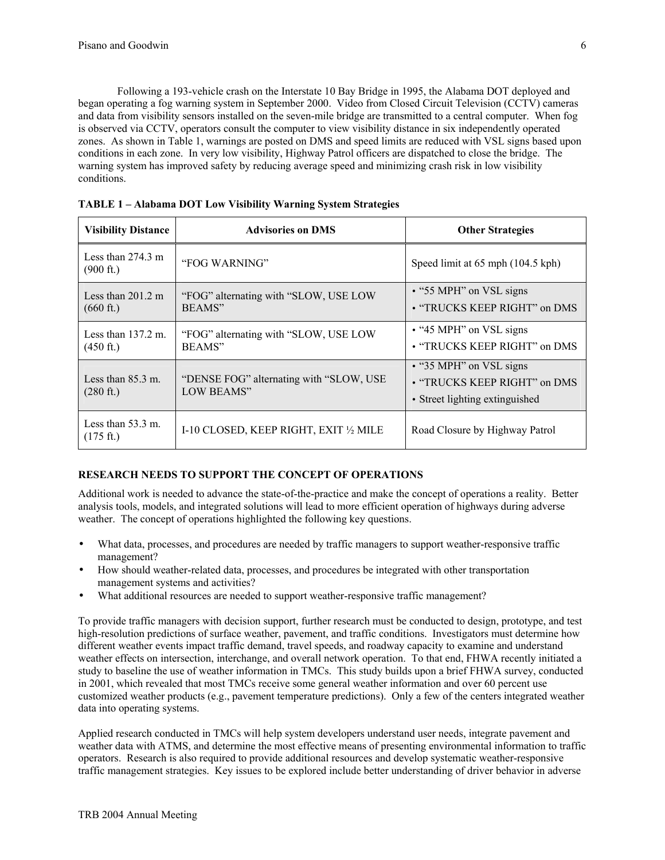Following a 193-vehicle crash on the Interstate 10 Bay Bridge in 1995, the Alabama DOT deployed and began operating a fog warning system in September 2000. Video from Closed Circuit Television (CCTV) cameras and data from visibility sensors installed on the seven-mile bridge are transmitted to a central computer. When fog is observed via CCTV, operators consult the computer to view visibility distance in six independently operated zones. As shown in Table 1, warnings are posted on DMS and speed limits are reduced with VSL signs based upon conditions in each zone. In very low visibility, Highway Patrol officers are dispatched to close the bridge. The warning system has improved safety by reducing average speed and minimizing crash risk in low visibility conditions.

| <b>Visibility Distance</b>                           | <b>Advisories on DMS</b>                               | <b>Other Strategies</b>                                                                   |  |
|------------------------------------------------------|--------------------------------------------------------|-------------------------------------------------------------------------------------------|--|
| Less than $274.3 \text{ m}$<br>$(900 \text{ ft.})$   | "FOG WARNING"                                          | Speed limit at 65 mph (104.5 kph)                                                         |  |
| Less than $201.2 \text{ m}$<br>$(660 \text{ ft.})$   | "FOG" alternating with "SLOW, USE LOW<br>BEAMS"        | • "55 MPH" on VSL signs<br>• "TRUCKS KEEP RIGHT" on DMS                                   |  |
| Less than $137.2 \text{ m}$ .<br>$(450 \text{ ft.})$ | "FOG" alternating with "SLOW, USE LOW<br>BEAMS"        | $\bullet$ "45 MPH" on VSL signs<br>• "TRUCKS KEEP RIGHT" on DMS                           |  |
| Less than $85.3$ m.<br>$(280 \text{ ft.})$           | "DENSE FOG" alternating with "SLOW, USE"<br>LOW BEAMS" | • "35 MPH" on VSL signs<br>• "TRUCKS KEEP RIGHT" on DMS<br>• Street lighting extinguished |  |
| Less than $53.3 \text{ m}$ .<br>$(175 \text{ ft.})$  | I-10 CLOSED, KEEP RIGHT, EXIT 1/2 MILE                 | Road Closure by Highway Patrol                                                            |  |

**TABLE 1 – Alabama DOT Low Visibility Warning System Strategies** 

# **RESEARCH NEEDS TO SUPPORT THE CONCEPT OF OPERATIONS**

Additional work is needed to advance the state-of-the-practice and make the concept of operations a reality. Better analysis tools, models, and integrated solutions will lead to more efficient operation of highways during adverse weather. The concept of operations highlighted the following key questions.

- What data, processes, and procedures are needed by traffic managers to support weather-responsive traffic management?
- How should weather-related data, processes, and procedures be integrated with other transportation management systems and activities?
- What additional resources are needed to support weather-responsive traffic management?

To provide traffic managers with decision support, further research must be conducted to design, prototype, and test high-resolution predictions of surface weather, pavement, and traffic conditions. Investigators must determine how different weather events impact traffic demand, travel speeds, and roadway capacity to examine and understand weather effects on intersection, interchange, and overall network operation. To that end, FHWA recently initiated a study to baseline the use of weather information in TMCs. This study builds upon a brief FHWA survey, conducted in 2001, which revealed that most TMCs receive some general weather information and over 60 percent use customized weather products (e.g., pavement temperature predictions). Only a few of the centers integrated weather data into operating systems.

Applied research conducted in TMCs will help system developers understand user needs, integrate pavement and weather data with ATMS, and determine the most effective means of presenting environmental information to traffic operators. Research is also required to provide additional resources and develop systematic weather-responsive traffic management strategies. Key issues to be explored include better understanding of driver behavior in adverse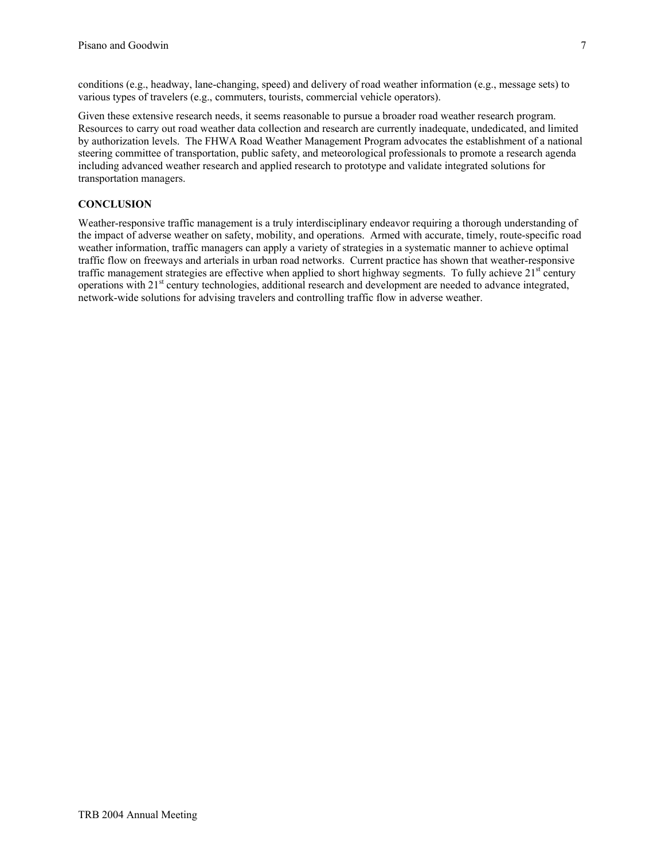Given these extensive research needs, it seems reasonable to pursue a broader road weather research program. Resources to carry out road weather data collection and research are currently inadequate, undedicated, and limited by authorization levels. The FHWA Road Weather Management Program advocates the establishment of a national steering committee of transportation, public safety, and meteorological professionals to promote a research agenda including advanced weather research and applied research to prototype and validate integrated solutions for transportation managers.

# **CONCLUSION**

Weather-responsive traffic management is a truly interdisciplinary endeavor requiring a thorough understanding of the impact of adverse weather on safety, mobility, and operations. Armed with accurate, timely, route-specific road weather information, traffic managers can apply a variety of strategies in a systematic manner to achieve optimal traffic flow on freeways and arterials in urban road networks. Current practice has shown that weather-responsive traffic management strategies are effective when applied to short highway segments. To fully achieve  $21<sup>st</sup>$  century operations with 21<sup>st</sup> century technologies, additional research and development are needed to advance integrated, network-wide solutions for advising travelers and controlling traffic flow in adverse weather.